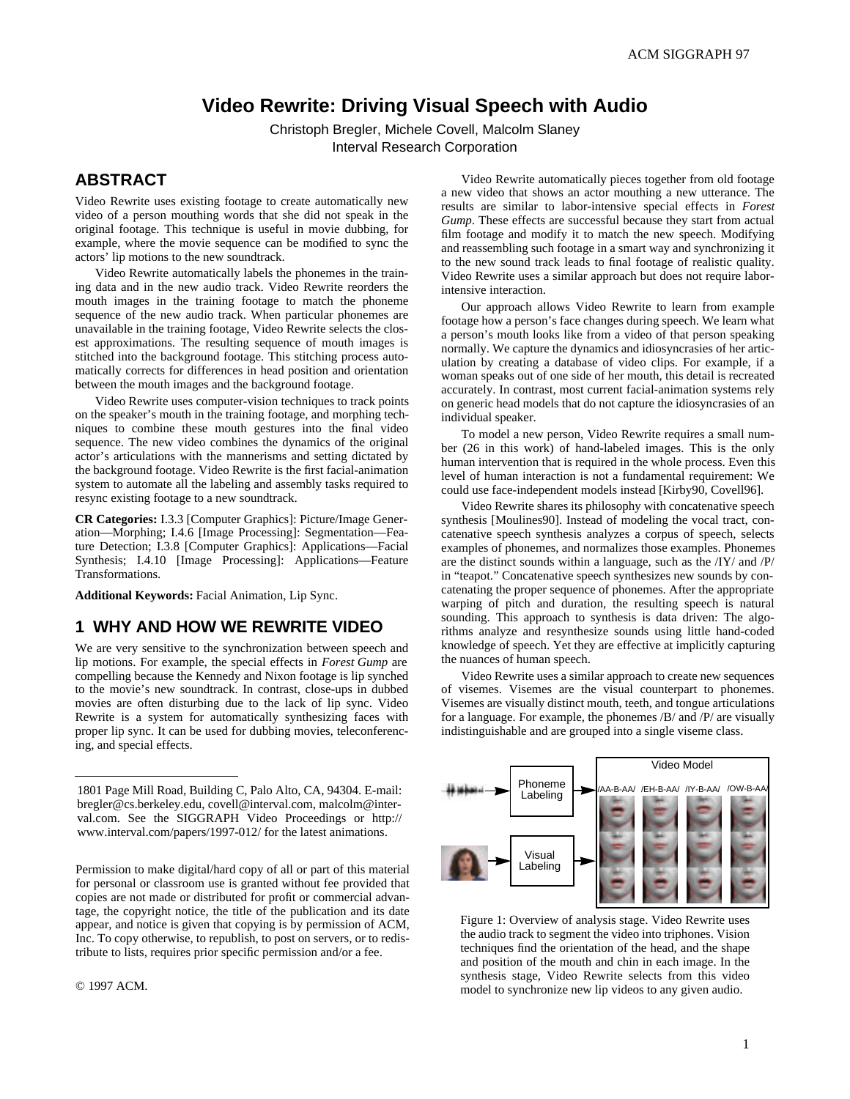# **Video Rewrite: Driving Visual Speech with Audio**

Christoph Bregler, Michele Covell, Malcolm Slaney Interval Research Corporation

# **ABSTRACT**

Video Rewrite uses existing footage to create automatically new video of a person mouthing words that she did not speak in the original footage. This technique is useful in movie dubbing, for example, where the movie sequence can be modified to sync the actors' lip motions to the new soundtrack.

Video Rewrite automatically labels the phonemes in the training data and in the new audio track. Video Rewrite reorders the mouth images in the training footage to match the phoneme sequence of the new audio track. When particular phonemes are unavailable in the training footage, Video Rewrite selects the closest approximations. The resulting sequence of mouth images is stitched into the background footage. This stitching process automatically corrects for differences in head position and orientation between the mouth images and the background footage.

Video Rewrite uses computer-vision techniques to track points on the speaker's mouth in the training footage, and morphing techniques to combine these mouth gestures into the final video sequence. The new video combines the dynamics of the original actor's articulations with the mannerisms and setting dictated by the background footage. Video Rewrite is the first facial-animation system to automate all the labeling and assembly tasks required to resync existing footage to a new soundtrack.

**CR Categories:** I.3.3 [Computer Graphics]: Picture/Image Generation—Morphing; I.4.6 [Image Processing]: Segmentation—Feature Detection; I.3.8 [Computer Graphics]: Applications—Facial Synthesis; I.4.10 [Image Processing]: Applications—Feature Transformations.

**Additional Keywords:** Facial Animation, Lip Sync.

# **1 WHY AND HOW WE REWRITE VIDEO**

We are very sensitive to the synchronization between speech and lip motions. For example, the special effects in *Forest Gump* are compelling because the Kennedy and Nixon footage is lip synched to the movie's new soundtrack. In contrast, close-ups in dubbed movies are often disturbing due to the lack of lip sync. Video Rewrite is a system for automatically synthesizing faces with proper lip sync. It can be used for dubbing movies, teleconferencing, and special effects.

Permission to make digital/hard copy of all or part of this material for personal or classroom use is granted without fee provided that copies are not made or distributed for profit or commercial advantage, the copyright notice, the title of the publication and its date appear, and notice is given that copying is by permission of ACM, Inc. To copy otherwise, to republish, to post on servers, or to redistribute to lists, requires prior specific permission and/or a fee.

© 1997 ACM.

Video Rewrite automatically pieces together from old footage a new video that shows an actor mouthing a new utterance. The results are similar to labor-intensive special effects in *Forest Gump*. These effects are successful because they start from actual film footage and modify it to match the new speech. Modifying and reassembling such footage in a smart way and synchronizing it to the new sound track leads to final footage of realistic quality. Video Rewrite uses a similar approach but does not require laborintensive interaction.

Our approach allows Video Rewrite to learn from example footage how a person's face changes during speech. We learn what a person's mouth looks like from a video of that person speaking normally. We capture the dynamics and idiosyncrasies of her articulation by creating a database of video clips. For example, if a woman speaks out of one side of her mouth, this detail is recreated accurately. In contrast, most current facial-animation systems rely on generic head models that do not capture the idiosyncrasies of an individual speaker.

To model a new person, Video Rewrite requires a small number (26 in this work) of hand-labeled images. This is the only human intervention that is required in the whole process. Even this level of human interaction is not a fundamental requirement: We could use face-independent models instead [Kirby90, Covell96].

Video Rewrite shares its philosophy with concatenative speech synthesis [Moulines90]. Instead of modeling the vocal tract, concatenative speech synthesis analyzes a corpus of speech, selects examples of phonemes, and normalizes those examples. Phonemes are the distinct sounds within a language, such as the /IY/ and /P/ in "teapot." Concatenative speech synthesizes new sounds by concatenating the proper sequence of phonemes. After the appropriate warping of pitch and duration, the resulting speech is natural sounding. This approach to synthesis is data driven: The algorithms analyze and resynthesize sounds using little hand-coded knowledge of speech. Yet they are effective at implicitly capturing the nuances of human speech.

Video Rewrite uses a similar approach to create new sequences of visemes. Visemes are the visual counterpart to phonemes. Visemes are visually distinct mouth, teeth, and tongue articulations for a language. For example, the phonemes /B/ and /P/ are visually indistinguishable and are grouped into a single viseme class.



Figure 1: Overview of analysis stage. Video Rewrite uses the audio track to segment the video into triphones. Vision techniques find the orientation of the head, and the shape and position of the mouth and chin in each image. In the synthesis stage, Video Rewrite selects from this video model to synchronize new lip videos to any given audio.

<sup>1801</sup> Page Mill Road, Building C, Palo Alto, CA, 94304. E-mail: bregler@cs.berkeley.edu, covell@interval.com, malcolm@interval.com. See the SIGGRAPH Video Proceedings or http:// www.interval.com/papers/1997-012/ for the latest animations.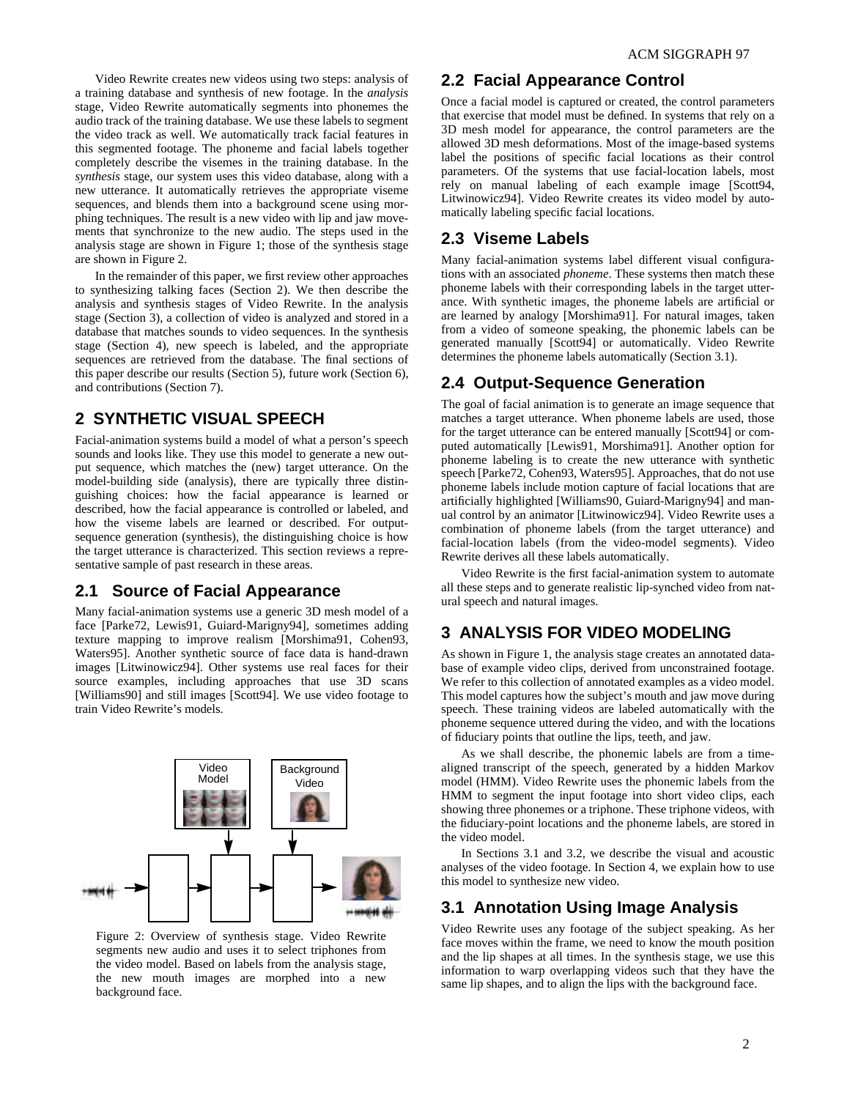Video Rewrite creates new videos using two steps: analysis of a training database and synthesis of new footage. In the *analysis* stage, Video Rewrite automatically segments into phonemes the audio track of the training database. We use these labels to segment the video track as well. We automatically track facial features in this segmented footage. The phoneme and facial labels together completely describe the visemes in the training database. In the *synthesis* stage, our system uses this video database, along with a new utterance. It automatically retrieves the appropriate viseme sequences, and blends them into a background scene using morphing techniques. The result is a new video with lip and jaw movements that synchronize to the new audio. The steps used in the analysis stage are shown in Figure 1; those of the synthesis stage are shown in Figure 2.

In the remainder of this paper, we first review other approaches to synthesizing talking faces (Section 2). We then describe the analysis and synthesis stages of Video Rewrite. In the analysis stage (Section 3), a collection of video is analyzed and stored in a database that matches sounds to video sequences. In the synthesis stage (Section 4), new speech is labeled, and the appropriate sequences are retrieved from the database. The final sections of this paper describe our results (Section 5), future work (Section 6), and contributions (Section 7).

# **2 SYNTHETIC VISUAL SPEECH**

Facial-animation systems build a model of what a person's speech sounds and looks like. They use this model to generate a new output sequence, which matches the (new) target utterance. On the model-building side (analysis), there are typically three distinguishing choices: how the facial appearance is learned or described, how the facial appearance is controlled or labeled, and how the viseme labels are learned or described. For outputsequence generation (synthesis), the distinguishing choice is how the target utterance is characterized. This section reviews a representative sample of past research in these areas.

# **2.1 Source of Facial Appearance**

Many facial-animation systems use a generic 3D mesh model of a face [Parke72, Lewis91, Guiard-Marigny94], sometimes adding texture mapping to improve realism [Morshima91, Cohen93, Waters95]. Another synthetic source of face data is hand-drawn images [Litwinowicz94]. Other systems use real faces for their source examples, including approaches that use 3D scans [Williams90] and still images [Scott94]. We use video footage to train Video Rewrite's models.



Figure 2: Overview of synthesis stage. Video Rewrite segments new audio and uses it to select triphones from the video model. Based on labels from the analysis stage, the new mouth images are morphed into a new background face.

# **2.2 Facial Appearance Control**

Once a facial model is captured or created, the control parameters that exercise that model must be defined. In systems that rely on a 3D mesh model for appearance, the control parameters are the allowed 3D mesh deformations. Most of the image-based systems label the positions of specific facial locations as their control parameters. Of the systems that use facial-location labels, most rely on manual labeling of each example image [Scott94, Litwinowicz94]. Video Rewrite creates its video model by automatically labeling specific facial locations.

# **2.3 Viseme Labels**

Many facial-animation systems label different visual configurations with an associated *phoneme*. These systems then match these phoneme labels with their corresponding labels in the target utterance. With synthetic images, the phoneme labels are artificial or are learned by analogy [Morshima91]. For natural images, taken from a video of someone speaking, the phonemic labels can be generated manually [Scott94] or automatically. Video Rewrite determines the phoneme labels automatically (Section 3.1).

# **2.4 Output-Sequence Generation**

The goal of facial animation is to generate an image sequence that matches a target utterance. When phoneme labels are used, those for the target utterance can be entered manually [Scott94] or computed automatically [Lewis91, Morshima91]. Another option for phoneme labeling is to create the new utterance with synthetic speech [Parke72, Cohen93, Waters95]. Approaches, that do not use phoneme labels include motion capture of facial locations that are artificially highlighted [Williams90, Guiard-Marigny94] and manual control by an animator [Litwinowicz94]. Video Rewrite uses a combination of phoneme labels (from the target utterance) and facial-location labels (from the video-model segments). Video Rewrite derives all these labels automatically.

Video Rewrite is the first facial-animation system to automate all these steps and to generate realistic lip-synched video from natural speech and natural images.

# **3 ANALYSIS FOR VIDEO MODELING**

As shown in Figure 1, the analysis stage creates an annotated database of example video clips, derived from unconstrained footage. We refer to this collection of annotated examples as a video model. This model captures how the subject's mouth and jaw move during speech. These training videos are labeled automatically with the phoneme sequence uttered during the video, and with the locations of fiduciary points that outline the lips, teeth, and jaw.

As we shall describe, the phonemic labels are from a timealigned transcript of the speech, generated by a hidden Markov model (HMM). Video Rewrite uses the phonemic labels from the HMM to segment the input footage into short video clips, each showing three phonemes or a triphone. These triphone videos, with the fiduciary-point locations and the phoneme labels, are stored in the video model.

In Sections 3.1 and 3.2, we describe the visual and acoustic analyses of the video footage. In Section 4, we explain how to use this model to synthesize new video.

# **3.1 Annotation Using Image Analysis**

Video Rewrite uses any footage of the subject speaking. As her face moves within the frame, we need to know the mouth position and the lip shapes at all times. In the synthesis stage, we use this information to warp overlapping videos such that they have the same lip shapes, and to align the lips with the background face.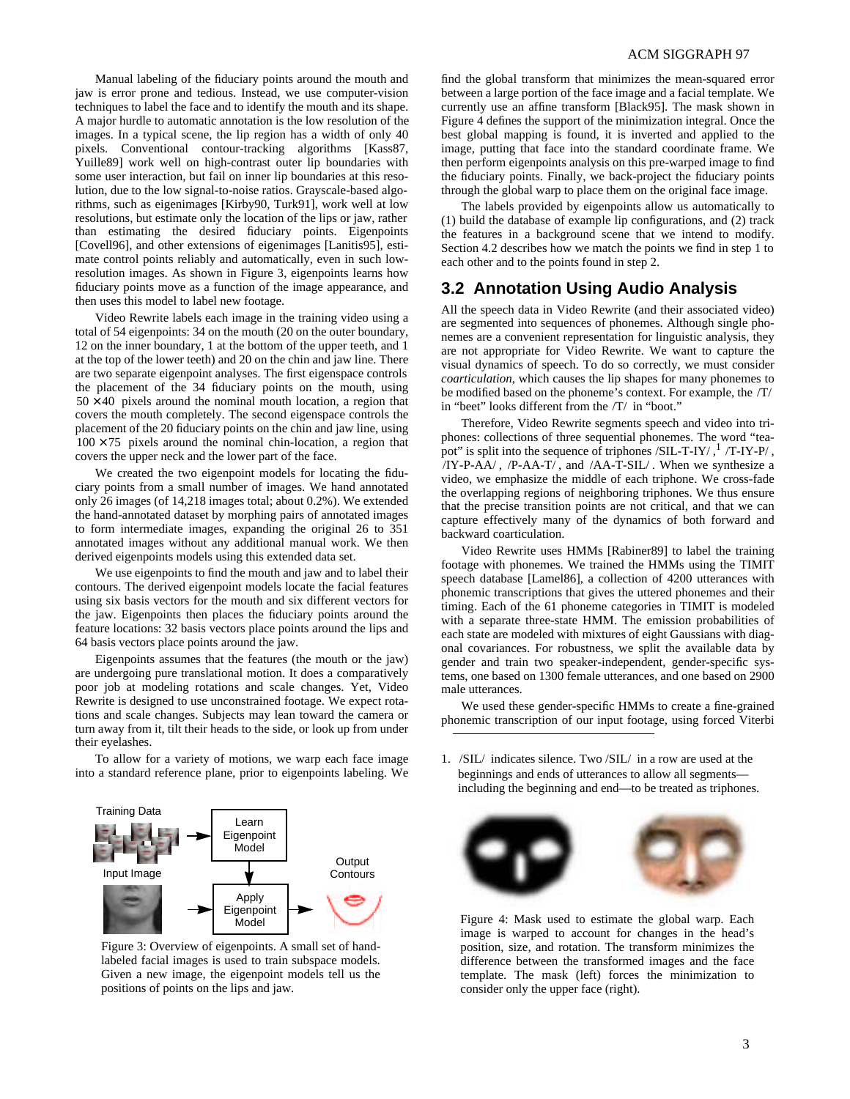Manual labeling of the fiduciary points around the mouth and jaw is error prone and tedious. Instead, we use computer-vision techniques to label the face and to identify the mouth and its shape. A major hurdle to automatic annotation is the low resolution of the images. In a typical scene, the lip region has a width of only 40 pixels. Conventional contour-tracking algorithms [Kass87, Yuille89] work well on high-contrast outer lip boundaries with some user interaction, but fail on inner lip boundaries at this resolution, due to the low signal-to-noise ratios. Grayscale-based algorithms, such as eigenimages [Kirby90, Turk91], work well at low resolutions, but estimate only the location of the lips or jaw, rather than estimating the desired fiduciary points. Eigenpoints [Covell96], and other extensions of eigenimages [Lanitis95], estimate control points reliably and automatically, even in such lowresolution images. As shown in Figure 3, eigenpoints learns how fiduciary points move as a function of the image appearance, and then uses this model to label new footage.

Video Rewrite labels each image in the training video using a total of 54 eigenpoints: 34 on the mouth (20 on the outer boundary, 12 on the inner boundary, 1 at the bottom of the upper teeth, and 1 at the top of the lower teeth) and 20 on the chin and jaw line. There are two separate eigenpoint analyses. The first eigenspace controls the placement of the 34 fiduciary points on the mouth, using  $50 \times 40$  pixels around the nominal mouth location, a region that covers the mouth completely. The second eigenspace controls the placement of the 20 fiduciary points on the chin and jaw line, using  $100 \times 75$  pixels around the nominal chin-location, a region that covers the upper neck and the lower part of the face.

We created the two eigenpoint models for locating the fiduciary points from a small number of images. We hand annotated only 26 images (of 14,218 images total; about 0.2%). We extended the hand-annotated dataset by morphing pairs of annotated images to form intermediate images, expanding the original 26 to 351 annotated images without any additional manual work. We then derived eigenpoints models using this extended data set.

We use eigenpoints to find the mouth and jaw and to label their contours. The derived eigenpoint models locate the facial features using six basis vectors for the mouth and six different vectors for the jaw. Eigenpoints then places the fiduciary points around the feature locations: 32 basis vectors place points around the lips and 64 basis vectors place points around the jaw.

Eigenpoints assumes that the features (the mouth or the jaw) are undergoing pure translational motion. It does a comparatively poor job at modeling rotations and scale changes. Yet, Video Rewrite is designed to use unconstrained footage. We expect rotations and scale changes. Subjects may lean toward the camera or turn away from it, tilt their heads to the side, or look up from under their eyelashes.

To allow for a variety of motions, we warp each face image into a standard reference plane, prior to eigenpoints labeling. We



The labels provided by eigenpoints allow us automatically to (1) build the database of example lip configurations, and (2) track the features in a background scene that we intend to modify. Section 4.2 describes how we match the points we find in step 1 to each other and to the points found in step 2.

# **3.2 Annotation Using Audio Analysis**

All the speech data in Video Rewrite (and their associated video) are segmented into sequences of phonemes. Although single phonemes are a convenient representation for linguistic analysis, they are not appropriate for Video Rewrite. We want to capture the visual dynamics of speech. To do so correctly, we must consider *coarticulation*, which causes the lip shapes for many phonemes to be modified based on the phoneme's context. For example, the /T/ in "beet" looks different from the  $/T/$  in "boot."

Therefore, Video Rewrite segments speech and video into triphones: collections of three sequential phonemes. The word "teapot" is split into the sequence of triphones  $/SL-T-IY/$ ,  $/T-IV-P/$ ,  $/$ IY-P-AA $/$ ,  $/$ P-AA-T $/$ , and  $/$ AA-T-SIL $/$ . When we synthesize a video, we emphasize the middle of each triphone. We cross-fade the overlapping regions of neighboring triphones. We thus ensure that the precise transition points are not critical, and that we can capture effectively many of the dynamics of both forward and backward coarticulation.

Video Rewrite uses HMMs [Rabiner89] to label the training footage with phonemes. We trained the HMMs using the TIMIT speech database [Lamel86], a collection of 4200 utterances with phonemic transcriptions that gives the uttered phonemes and their timing. Each of the 61 phoneme categories in TIMIT is modeled with a separate three-state HMM. The emission probabilities of each state are modeled with mixtures of eight Gaussians with diagonal covariances. For robustness, we split the available data by gender and train two speaker-independent, gender-specific systems, one based on 1300 female utterances, and one based on 2900 male utterances.

We used these gender-specific HMMs to create a fine-grained phonemic transcription of our input footage, using forced Viterbi



Figure 3: Overview of eigenpoints. A small set of handlabeled facial images is used to train subspace models. Given a new image, the eigenpoint models tell us the positions of points on the lips and jaw.

1.  $/SIL/$  indicates silence. Two  $/SIL/$  in a row are used at the beginnings and ends of utterances to allow all segments including the beginning and end—to be treated as triphones.



Figure 4: Mask used to estimate the global warp. Each image is warped to account for changes in the head's position, size, and rotation. The transform minimizes the difference between the transformed images and the face template. The mask (left) forces the minimization to consider only the upper face (right).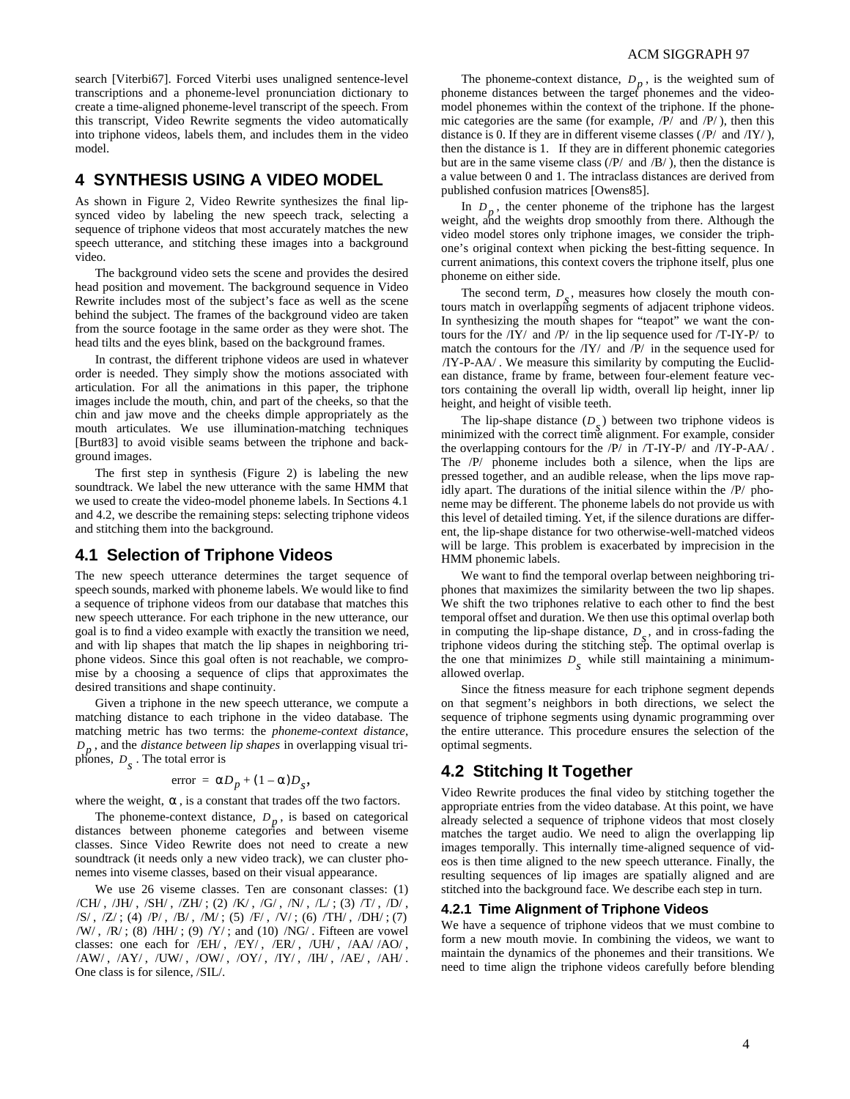search [Viterbi67]. Forced Viterbi uses unaligned sentence-level transcriptions and a phoneme-level pronunciation dictionary to create a time-aligned phoneme-level transcript of the speech. From this transcript, Video Rewrite segments the video automatically into triphone videos, labels them, and includes them in the video model.

## **4 SYNTHESIS USING A VIDEO MODEL**

As shown in Figure 2, Video Rewrite synthesizes the final lipsynced video by labeling the new speech track, selecting a sequence of triphone videos that most accurately matches the new speech utterance, and stitching these images into a background video.

The background video sets the scene and provides the desired head position and movement. The background sequence in Video Rewrite includes most of the subject's face as well as the scene behind the subject. The frames of the background video are taken from the source footage in the same order as they were shot. The head tilts and the eyes blink, based on the background frames.

In contrast, the different triphone videos are used in whatever order is needed. They simply show the motions associated with articulation. For all the animations in this paper, the triphone images include the mouth, chin, and part of the cheeks, so that the chin and jaw move and the cheeks dimple appropriately as the mouth articulates. We use illumination-matching techniques [Burt83] to avoid visible seams between the triphone and background images.

The first step in synthesis (Figure 2) is labeling the new soundtrack. We label the new utterance with the same HMM that we used to create the video-model phoneme labels. In Sections 4.1 and 4.2, we describe the remaining steps: selecting triphone videos and stitching them into the background.

# **4.1 Selection of Triphone Videos**

The new speech utterance determines the target sequence of speech sounds, marked with phoneme labels. We would like to find a sequence of triphone videos from our database that matches this new speech utterance. For each triphone in the new utterance, our goal is to find a video example with exactly the transition we need, and with lip shapes that match the lip shapes in neighboring triphone videos. Since this goal often is not reachable, we compromise by a choosing a sequence of clips that approximates the desired transitions and shape continuity.

Given a triphone in the new speech utterance, we compute a matching distance to each triphone in the video database. The matching metric has two terms: the *phoneme-context distance*, , and the *distance between lip shapes* in overlapping visual tri-*Dp* phones,  $D_s$ . The total error is

$$
error = D_p + (1 - )D_s,
$$

where the weight, , is a constant that trades off the two factors.

The phoneme-context distance,  $D_n$ , is based on categorical The phoneme-context distance,  $D_p$ , is based on categorical distances between phoneme categories and between viseme classes. Since Video Rewrite does not need to create a new soundtrack (it needs only a new video track), we can cluster phonemes into viseme classes, based on their visual appearance.

We use 26 viseme classes. Ten are consonant classes: (1) /CH/, /JH/, /SH/, /ZH/; (2) /K/, /G/, /N/, /L/; (3) /T/, /D/,  $\langle S \rangle$  ,  $\langle Z \rangle$  ; (4)  $\langle P \rangle$  ,  $\langle B \rangle$  ,  $\langle M \rangle$  ; (5)  $\langle F \rangle$  ,  $\langle V \rangle$  ; (6)  $\langle TH \rangle$  ,  $\langle DH \rangle$  ; (7)  $\langle W \rangle$ ,  $\langle R \rangle$ ; (8)  $\langle HH \rangle$ ; (9)  $\langle Y \rangle$ ; and (10)  $\langle NG \rangle$ . Fifteen are vowel classes: one each for  $/EH/$ ,  $/FY/$ ,  $/ER/$ ,  $/UH/$ ,  $/AA/$   $/AO/$ , , /AY/, /UW/, /OW/, /OY/, /IY/, /IH/, /AE/, /AH/. One class is for silence, /SIL/. /EH/, /EY/, /ER/, /UH/, /AA/ /AO/ /AW/, /AY/, /UW/, /OW/, /OY/, /IY/, /IH/, /AE/, /AH/

The phoneme-context distance,  $D_n$ , is the weighted sum of The phoneme-context distance,  $D_p$ , is the weighted sum of phoneme distances between the target phonemes and the videomodel phonemes within the context of the triphone. If the phonemic categories are the same (for example,  $\overline{P}$  and  $\overline{P}$ ), then this distance is 0. If they are in different viseme classes ( $\sqrt{P}$  and  $\sqrt{I}Y$ ), then the distance is 1. If they are in different phonemic categories but are in the same viseme class  $(P/$  and  $/B/$ ), then the distance is a value between 0 and 1. The intraclass distances are derived from published confusion matrices [Owens85].

In  $D_p$ , the center phoneme of the triphone has the largest weight, and the weights drop smoothly from there. Although the video model stores only triphone images, we consider the triphone's original context when picking the best-fitting sequence. In current animations, this context covers the triphone itself, plus one phoneme on either side.

The second term,  $D_s$ , measures how closely the mouth con-<br>*a* match in evenlencing aggregate of odiscent triplens videos tours match in overlapping segments of adjacent triphone videos. In synthesizing the mouth shapes for "teapot" we want the contours for the  $\frac{1}{Y}$  and  $\frac{P}{\text{}}$  in the lip sequence used for  $\frac{1}{T-1}Y-P$  to match the contours for the  $\langle IY \rangle$  and  $\langle P \rangle$  in the sequence used for /IY-P-AA/. We measure this similarity by computing the Euclidean distance, frame by frame, between four-element feature vectors containing the overall lip width, overall lip height, inner lip height, and height of visible teeth.

The lip-shape distance  $(D_a)$  between two triphone videos is minimized with the correct time alignment. For example, consider the overlapping contours for the  $\overline{P}$  in  $\overline{T}$ -IY-P/ and  $\overline{I}$ -P-AA/. The  $\mathbb{P}'$  phoneme includes both a silence, when the lips are pressed together, and an audible release, when the lips move rapidly apart. The durations of the initial silence within the  $\overline{P}$  phoneme may be different. The phoneme labels do not provide us with this level of detailed timing. Yet, if the silence durations are different, the lip-shape distance for two otherwise-well-matched videos will be large. This problem is exacerbated by imprecision in the HMM phonemic labels.

We want to find the temporal overlap between neighboring triphones that maximizes the similarity between the two lip shapes. We shift the two triphones relative to each other to find the best temporal offset and duration. We then use this optimal overlap both in computing the lip-shape distance,  $D_s$ , and in cross-fading the *triphone* videos during the extinction of  $\overline{D}$ . The entimal evening is triphone videos during the stitching step. The optimal overlap is the one that minimizes  $D<sub>s</sub>$  while still maintaining a minimumallowed overlap.

Since the fitness measure for each triphone segment depends on that segment's neighbors in both directions, we select the sequence of triphone segments using dynamic programming over the entire utterance. This procedure ensures the selection of the optimal segments.

# **4.2 Stitching It Together**

Video Rewrite produces the final video by stitching together the appropriate entries from the video database. At this point, we have already selected a sequence of triphone videos that most closely matches the target audio. We need to align the overlapping lip images temporally. This internally time-aligned sequence of videos is then time aligned to the new speech utterance. Finally, the resulting sequences of lip images are spatially aligned and are stitched into the background face. We describe each step in turn.

#### **4.2.1 Time Alignment of Triphone Videos**

We have a sequence of triphone videos that we must combine to form a new mouth movie. In combining the videos, we want to maintain the dynamics of the phonemes and their transitions. We need to time align the triphone videos carefully before blending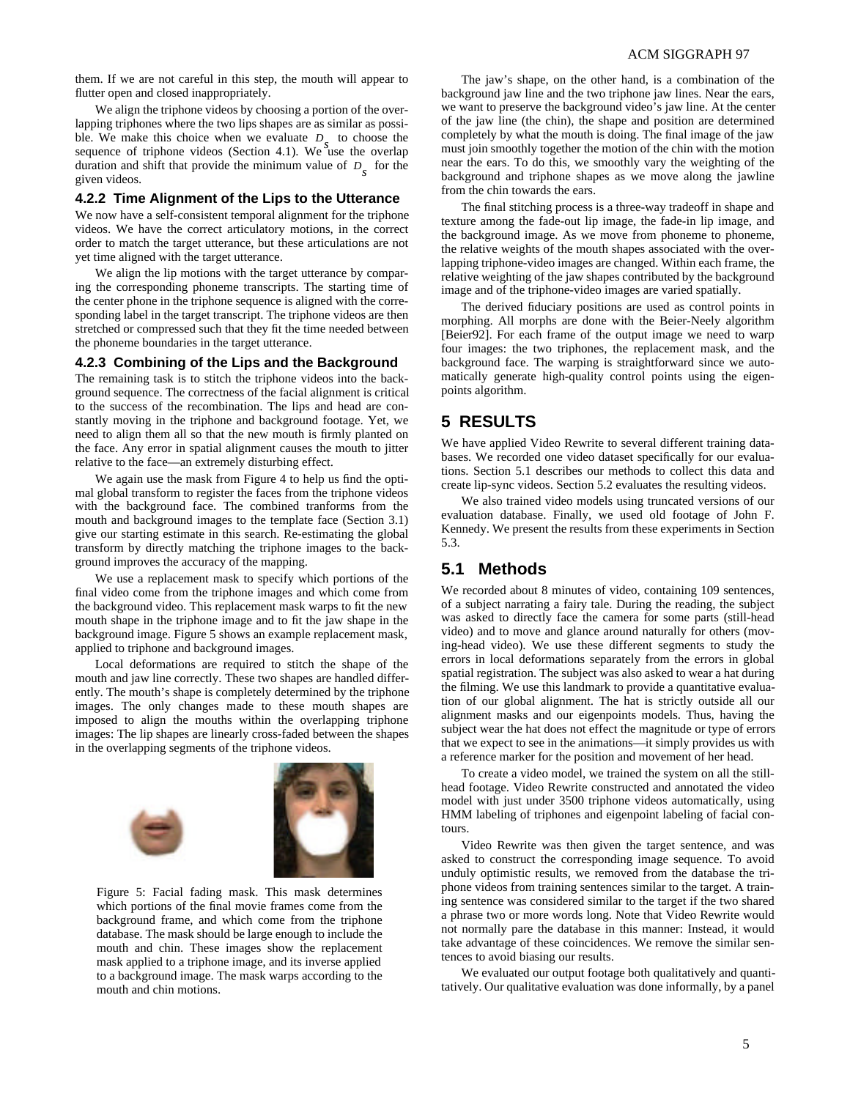them. If we are not careful in this step, the mouth will appear to flutter open and closed inappropriately.

We align the triphone videos by choosing a portion of the overlapping triphones where the two lips shapes are as similar as possible. We make this choice when we evaluate  $D<sub>a</sub>$  to choose the sequence of triphone videos (Section 4.1). We use the overlap duration and shift that provide the minimum value of  $D<sub>s</sub>$  for the given videos. *D s*

#### **4.2.2 Time Alignment of the Lips to the Utterance**

We now have a self-consistent temporal alignment for the triphone videos. We have the correct articulatory motions, in the correct order to match the target utterance, but these articulations are not yet time aligned with the target utterance.

We align the lip motions with the target utterance by comparing the corresponding phoneme transcripts. The starting time of the center phone in the triphone sequence is aligned with the corresponding label in the target transcript. The triphone videos are then stretched or compressed such that they fit the time needed between the phoneme boundaries in the target utterance.

#### **4.2.3 Combining of the Lips and the Background**

The remaining task is to stitch the triphone videos into the background sequence. The correctness of the facial alignment is critical to the success of the recombination. The lips and head are constantly moving in the triphone and background footage. Yet, we need to align them all so that the new mouth is firmly planted on the face. Any error in spatial alignment causes the mouth to jitter relative to the face—an extremely disturbing effect.

We again use the mask from Figure 4 to help us find the optimal global transform to register the faces from the triphone videos with the background face. The combined tranforms from the mouth and background images to the template face (Section 3.1) give our starting estimate in this search. Re-estimating the global transform by directly matching the triphone images to the background improves the accuracy of the mapping.

We use a replacement mask to specify which portions of the final video come from the triphone images and which come from the background video. This replacement mask warps to fit the new mouth shape in the triphone image and to fit the jaw shape in the background image. Figure 5 shows an example replacement mask, applied to triphone and background images.

Local deformations are required to stitch the shape of the mouth and jaw line correctly. These two shapes are handled differently. The mouth's shape is completely determined by the triphone images. The only changes made to these mouth shapes are imposed to align the mouths within the overlapping triphone images: The lip shapes are linearly cross-faded between the shapes in the overlapping segments of the triphone videos.



Figure 5: Facial fading mask. This mask determines which portions of the final movie frames come from the background frame, and which come from the triphone database. The mask should be large enough to include the mouth and chin. These images show the replacement mask applied to a triphone image, and its inverse applied to a background image. The mask warps according to the mouth and chin motions.

The jaw's shape, on the other hand, is a combination of the background jaw line and the two triphone jaw lines. Near the ears, we want to preserve the background video's jaw line. At the center of the jaw line (the chin), the shape and position are determined completely by what the mouth is doing. The final image of the jaw must join smoothly together the motion of the chin with the motion near the ears. To do this, we smoothly vary the weighting of the background and triphone shapes as we move along the jawline from the chin towards the ears.

The final stitching process is a three-way tradeoff in shape and texture among the fade-out lip image, the fade-in lip image, and the background image. As we move from phoneme to phoneme, the relative weights of the mouth shapes associated with the overlapping triphone-video images are changed. Within each frame, the relative weighting of the jaw shapes contributed by the background image and of the triphone-video images are varied spatially.

The derived fiduciary positions are used as control points in morphing. All morphs are done with the Beier-Neely algorithm [Beier92]. For each frame of the output image we need to warp four images: the two triphones, the replacement mask, and the background face. The warping is straightforward since we automatically generate high-quality control points using the eigenpoints algorithm.

# **5 RESULTS**

We have applied Video Rewrite to several different training databases. We recorded one video dataset specifically for our evaluations. Section 5.1 describes our methods to collect this data and create lip-sync videos. Section 5.2 evaluates the resulting videos.

We also trained video models using truncated versions of our evaluation database. Finally, we used old footage of John F. Kennedy. We present the results from these experiments in Section 5.3.

## **5.1 Methods**

We recorded about 8 minutes of video, containing 109 sentences, of a subject narrating a fairy tale. During the reading, the subject was asked to directly face the camera for some parts (still-head video) and to move and glance around naturally for others (moving-head video). We use these different segments to study the errors in local deformations separately from the errors in global spatial registration. The subject was also asked to wear a hat during the filming. We use this landmark to provide a quantitative evaluation of our global alignment. The hat is strictly outside all our alignment masks and our eigenpoints models. Thus, having the subject wear the hat does not effect the magnitude or type of errors that we expect to see in the animations—it simply provides us with a reference marker for the position and movement of her head.

To create a video model, we trained the system on all the stillhead footage. Video Rewrite constructed and annotated the video model with just under 3500 triphone videos automatically, using HMM labeling of triphones and eigenpoint labeling of facial contours.

Video Rewrite was then given the target sentence, and was asked to construct the corresponding image sequence. To avoid unduly optimistic results, we removed from the database the triphone videos from training sentences similar to the target. A training sentence was considered similar to the target if the two shared a phrase two or more words long. Note that Video Rewrite would not normally pare the database in this manner: Instead, it would take advantage of these coincidences. We remove the similar sentences to avoid biasing our results.

We evaluated our output footage both qualitatively and quantitatively. Our qualitative evaluation was done informally, by a panel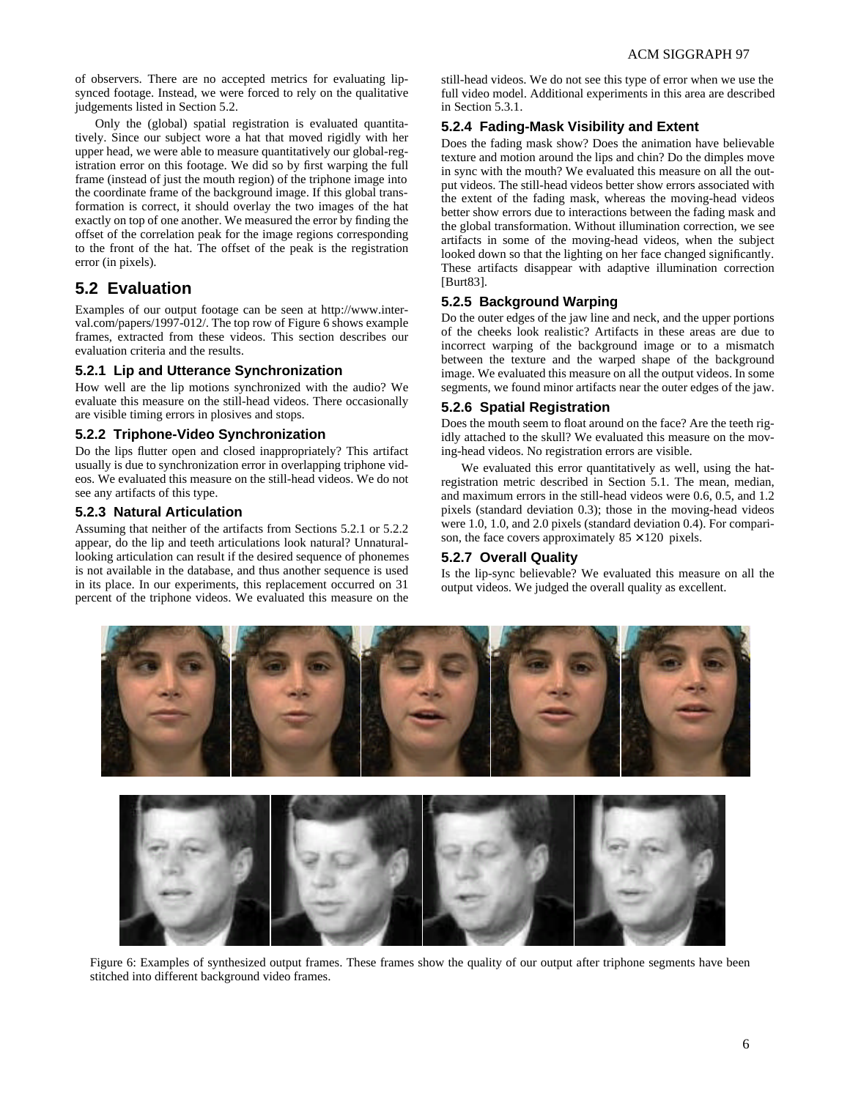of observers. There are no accepted metrics for evaluating lipsynced footage. Instead, we were forced to rely on the qualitative judgements listed in Section 5.2.

Only the (global) spatial registration is evaluated quantitatively. Since our subject wore a hat that moved rigidly with her upper head, we were able to measure quantitatively our global-registration error on this footage. We did so by first warping the full frame (instead of just the mouth region) of the triphone image into the coordinate frame of the background image. If this global transformation is correct, it should overlay the two images of the hat exactly on top of one another. We measured the error by finding the offset of the correlation peak for the image regions corresponding to the front of the hat. The offset of the peak is the registration error (in pixels).

# **5.2 Evaluation**

Examples of our output footage can be seen at http://www.interval.com/papers/1997-012/. The top row of Figure 6 shows example frames, extracted from these videos. This section describes our evaluation criteria and the results.

## **5.2.1 Lip and Utterance Synchronization**

How well are the lip motions synchronized with the audio? We evaluate this measure on the still-head videos. There occasionally are visible timing errors in plosives and stops.

#### **5.2.2 Triphone-Video Synchronization**

Do the lips flutter open and closed inappropriately? This artifact usually is due to synchronization error in overlapping triphone videos. We evaluated this measure on the still-head videos. We do not see any artifacts of this type.

### **5.2.3 Natural Articulation**

Assuming that neither of the artifacts from Sections 5.2.1 or 5.2.2 appear, do the lip and teeth articulations look natural? Unnaturallooking articulation can result if the desired sequence of phonemes is not available in the database, and thus another sequence is used in its place. In our experiments, this replacement occurred on 31 percent of the triphone videos. We evaluated this measure on the

still-head videos. We do not see this type of error when we use the full video model. Additional experiments in this area are described in Section 5.3.1.

### **5.2.4 Fading-Mask Visibility and Extent**

Does the fading mask show? Does the animation have believable texture and motion around the lips and chin? Do the dimples move in sync with the mouth? We evaluated this measure on all the output videos. The still-head videos better show errors associated with the extent of the fading mask, whereas the moving-head videos better show errors due to interactions between the fading mask and the global transformation. Without illumination correction, we see artifacts in some of the moving-head videos, when the subject looked down so that the lighting on her face changed significantly. These artifacts disappear with adaptive illumination correction [Burt83].

### **5.2.5 Background Warping**

Do the outer edges of the jaw line and neck, and the upper portions of the cheeks look realistic? Artifacts in these areas are due to incorrect warping of the background image or to a mismatch between the texture and the warped shape of the background image. We evaluated this measure on all the output videos. In some segments, we found minor artifacts near the outer edges of the jaw.

#### **5.2.6 Spatial Registration**

Does the mouth seem to float around on the face? Are the teeth rigidly attached to the skull? We evaluated this measure on the moving-head videos. No registration errors are visible.

We evaluated this error quantitatively as well, using the hatregistration metric described in Section 5.1. The mean, median, and maximum errors in the still-head videos were 0.6, 0.5, and 1.2 pixels (standard deviation 0.3); those in the moving-head videos were 1.0, 1.0, and 2.0 pixels (standard deviation 0.4). For comparison, the face covers approximately  $85 \times 120$  pixels.

#### **5.2.7 Overall Quality**

Is the lip-sync believable? We evaluated this measure on all the output videos. We judged the overall quality as excellent.





Figure 6: Examples of synthesized output frames. These frames show the quality of our output after triphone segments have been stitched into different background video frames.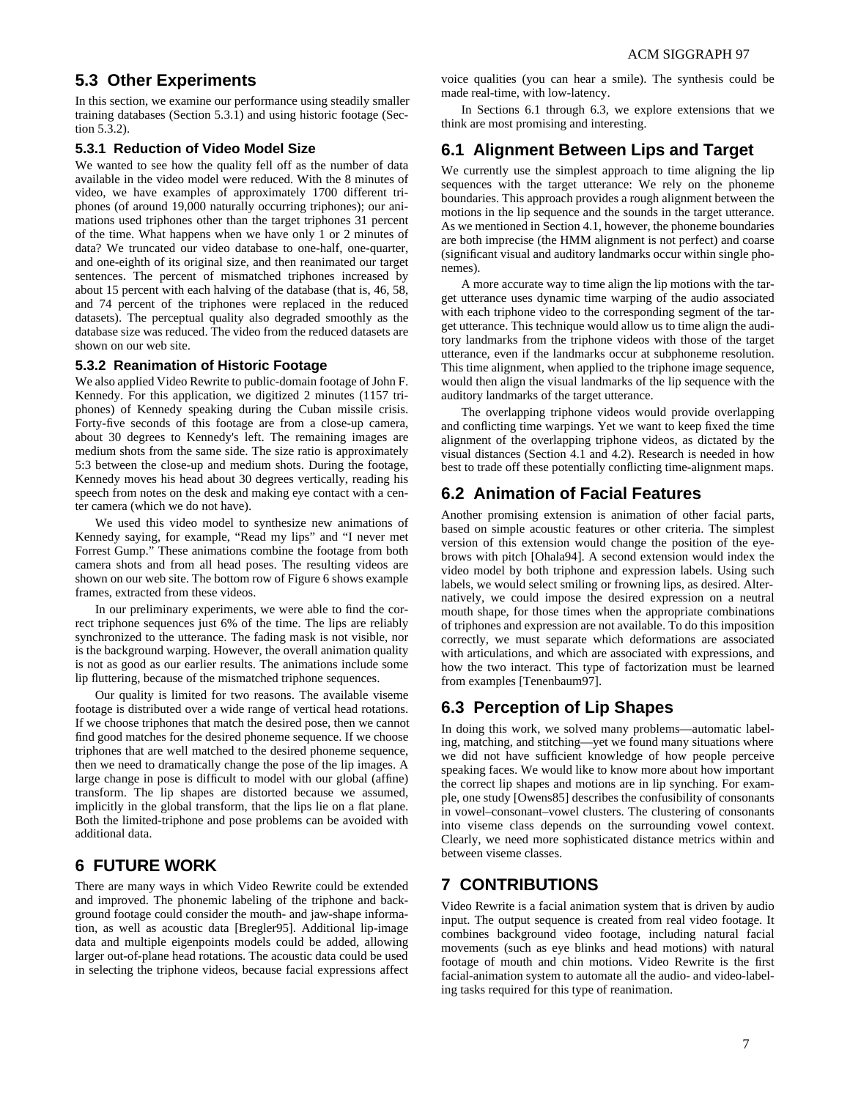# **5.3 Other Experiments**

In this section, we examine our performance using steadily smaller training databases (Section 5.3.1) and using historic footage (Section 5.3.2).

#### **5.3.1 Reduction of Video Model Size**

We wanted to see how the quality fell off as the number of data available in the video model were reduced. With the 8 minutes of video, we have examples of approximately 1700 different triphones (of around 19,000 naturally occurring triphones); our animations used triphones other than the target triphones 31 percent of the time. What happens when we have only 1 or 2 minutes of data? We truncated our video database to one-half, one-quarter, and one-eighth of its original size, and then reanimated our target sentences. The percent of mismatched triphones increased by about 15 percent with each halving of the database (that is, 46, 58, and 74 percent of the triphones were replaced in the reduced datasets). The perceptual quality also degraded smoothly as the database size was reduced. The video from the reduced datasets are shown on our web site.

#### **5.3.2 Reanimation of Historic Footage**

We also applied Video Rewrite to public-domain footage of John F. Kennedy. For this application, we digitized 2 minutes (1157 triphones) of Kennedy speaking during the Cuban missile crisis. Forty-five seconds of this footage are from a close-up camera, about 30 degrees to Kennedy's left. The remaining images are medium shots from the same side. The size ratio is approximately 5:3 between the close-up and medium shots. During the footage, Kennedy moves his head about 30 degrees vertically, reading his speech from notes on the desk and making eye contact with a center camera (which we do not have).

We used this video model to synthesize new animations of Kennedy saying, for example, "Read my lips" and "I never met Forrest Gump." These animations combine the footage from both camera shots and from all head poses. The resulting videos are shown on our web site. The bottom row of Figure 6 shows example frames, extracted from these videos.

In our preliminary experiments, we were able to find the correct triphone sequences just 6% of the time. The lips are reliably synchronized to the utterance. The fading mask is not visible, nor is the background warping. However, the overall animation quality is not as good as our earlier results. The animations include some lip fluttering, because of the mismatched triphone sequences.

Our quality is limited for two reasons. The available viseme footage is distributed over a wide range of vertical head rotations. If we choose triphones that match the desired pose, then we cannot find good matches for the desired phoneme sequence. If we choose triphones that are well matched to the desired phoneme sequence, then we need to dramatically change the pose of the lip images. A large change in pose is difficult to model with our global (affine) transform. The lip shapes are distorted because we assumed, implicitly in the global transform, that the lips lie on a flat plane. Both the limited-triphone and pose problems can be avoided with additional data.

# **6 FUTURE WORK**

There are many ways in which Video Rewrite could be extended and improved. The phonemic labeling of the triphone and background footage could consider the mouth- and jaw-shape information, as well as acoustic data [Bregler95]. Additional lip-image data and multiple eigenpoints models could be added, allowing larger out-of-plane head rotations. The acoustic data could be used in selecting the triphone videos, because facial expressions affect

voice qualities (you can hear a smile). The synthesis could be made real-time, with low-latency.

In Sections 6.1 through 6.3, we explore extensions that we think are most promising and interesting.

# **6.1 Alignment Between Lips and Target**

We currently use the simplest approach to time aligning the lip sequences with the target utterance: We rely on the phoneme boundaries. This approach provides a rough alignment between the motions in the lip sequence and the sounds in the target utterance. As we mentioned in Section 4.1, however, the phoneme boundaries are both imprecise (the HMM alignment is not perfect) and coarse (significant visual and auditory landmarks occur within single phonemes).

A more accurate way to time align the lip motions with the target utterance uses dynamic time warping of the audio associated with each triphone video to the corresponding segment of the target utterance. This technique would allow us to time align the auditory landmarks from the triphone videos with those of the target utterance, even if the landmarks occur at subphoneme resolution. This time alignment, when applied to the triphone image sequence, would then align the visual landmarks of the lip sequence with the auditory landmarks of the target utterance.

The overlapping triphone videos would provide overlapping and conflicting time warpings. Yet we want to keep fixed the time alignment of the overlapping triphone videos, as dictated by the visual distances (Section 4.1 and 4.2). Research is needed in how best to trade off these potentially conflicting time-alignment maps.

## **6.2 Animation of Facial Features**

Another promising extension is animation of other facial parts, based on simple acoustic features or other criteria. The simplest version of this extension would change the position of the eyebrows with pitch [Ohala94]. A second extension would index the video model by both triphone and expression labels. Using such labels, we would select smiling or frowning lips, as desired. Alternatively, we could impose the desired expression on a neutral mouth shape, for those times when the appropriate combinations of triphones and expression are not available. To do this imposition correctly, we must separate which deformations are associated with articulations, and which are associated with expressions, and how the two interact. This type of factorization must be learned from examples [Tenenbaum97].

# **6.3 Perception of Lip Shapes**

In doing this work, we solved many problems—automatic labeling, matching, and stitching—yet we found many situations where we did not have sufficient knowledge of how people perceive speaking faces. We would like to know more about how important the correct lip shapes and motions are in lip synching. For example, one study [Owens85] describes the confusibility of consonants in vowel–consonant–vowel clusters. The clustering of consonants into viseme class depends on the surrounding vowel context. Clearly, we need more sophisticated distance metrics within and between viseme classes.

# **7 CONTRIBUTIONS**

Video Rewrite is a facial animation system that is driven by audio input. The output sequence is created from real video footage. It combines background video footage, including natural facial movements (such as eye blinks and head motions) with natural footage of mouth and chin motions. Video Rewrite is the first facial-animation system to automate all the audio- and video-labeling tasks required for this type of reanimation.